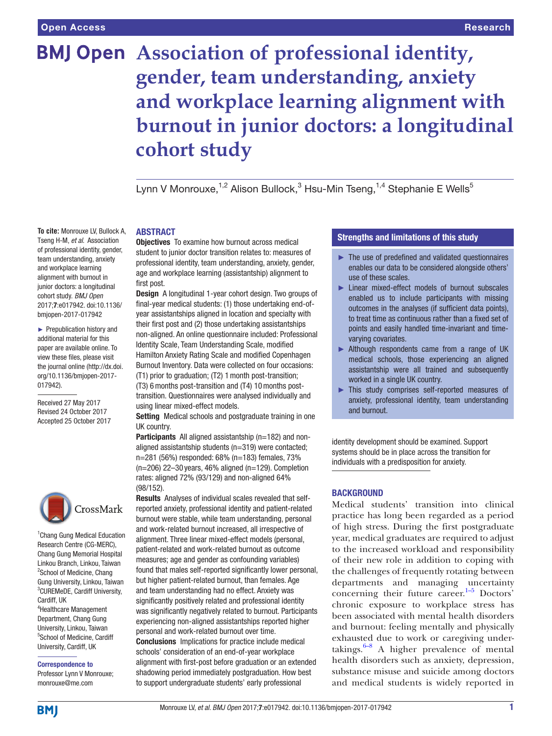Tseng H-M, *et al*. Association of professional identity, gender, team understanding, anxiety and workplace learning alignment with burnout in junior doctors: a longitudinal cohort study. *BMJ Open* 2017;7:e017942. doi:10.1136/ bmjopen-2017-017942 ► Prepublication history and additional material for this paper are available online. To view these files, please visit the journal online [\(http://dx.doi.](http://dx.doi.org/10.1136/bmjopen-2017-017942) [org/10.1136/bmjopen-2017-](http://dx.doi.org/10.1136/bmjopen-2017-017942)

# **BMJ Open** Association of professional identity, **gender, team understanding, anxiety and workplace learning alignment with burnout in junior doctors: a longitudinal cohort study**

Lynn V Monrouxe,<sup>1,2</sup> Alison Bullock,<sup>3</sup> Hsu-Min Tseng,<sup>1,4</sup> Stephanie E Wells<sup>5</sup>

#### **ABSTRACT To cite:** Monrouxe LV, Bullock A,

**Objectives** To examine how burnout across medical student to junior doctor transition relates to: measures of professional identity, team understanding, anxiety, gender, age and workplace learning (assistantship) alignment to first post.

Design A longitudinal 1-year cohort design. Two groups of final-year medical students: (1) those undertaking end-ofyear assistantships aligned in location and specialty with their first post and (2) those undertaking assistantships non-aligned. An online questionnaire included: Professional Identity Scale, Team Understanding Scale, modified Hamilton Anxiety Rating Scale and modified Copenhagen Burnout Inventory. Data were collected on four occasions: (T1) prior to graduation; (T2) 1month post-transition; (T3) 6months post-transition and (T4) 10months post-

transition. Questionnaires were analysed individually and using linear mixed-effect models.

Setting Medical schools and postgraduate training in one UK country.

Participants All aligned assistantship (n=182) and nonaligned assistantship students (n=319) were contacted; n=281 (56%) responded: 68% (n=183) females, 73%  $(n=206)$  22–30 years, 46% aligned  $(n=129)$ . Completion rates: aligned 72% (93/129) and non-aligned 64% (98/152).

Results Analyses of individual scales revealed that selfreported anxiety, professional identity and patient-related burnout were stable, while team understanding, personal and work-related burnout increased, all irrespective of alignment. Three linear mixed-effect models (personal, patient-related and work-related burnout as outcome measures; age and gender as confounding variables) found that males self-reported significantly lower personal, but higher patient-related burnout, than females. Age and team understanding had no effect. Anxiety was significantly positively related and professional identity was significantly negatively related to burnout. Participants experiencing non-aligned assistantships reported higher personal and work-related burnout over time. Conclusions Implications for practice include medical schools' consideration of an end-of-year workplace alignment with first-post before graduation or an extended shadowing period immediately postgraduation. How best to support undergraduate students' early professional

# Strengths and limitations of this study

- ► The use of predefined and validated questionnaires enables our data to be considered alongside others' use of these scales.
- ► Linear mixed-effect models of burnout subscales enabled us to include participants with missing outcomes in the analyses (if sufficient data points), to treat time as continuous rather than a fixed set of points and easily handled time-invariant and timevarying covariates.
- ► Although respondents came from a range of UK medical schools, those experiencing an aligned assistantship were all trained and subsequently worked in a single UK country.
- ► This study comprises self-reported measures of anxiety, professional identity, team understanding and burnout.

identity development should be examined. Support systems should be in place across the transition for individuals with a predisposition for anxiety.

# **BACKGROUND**

Medical students' transition into clinical practice has long been regarded as a period of high stress. During the first postgraduate year, medical graduates are required to adjust to the increased workload and responsibility of their new role in addition to coping with the challenges of frequently rotating between departments and managing uncertainty concerning their future career. $1-5$  Doctors' chronic exposure to workplace stress has been associated with mental health disorders and burnout: feeling mentally and physically exhausted due to work or caregiving undertakings. $6-8$  A higher prevalence of mental health disorders such as anxiety, depression, substance misuse and suicide among doctors and medical students is widely reported in

CrossMark

[017942\)](http://dx.doi.org/10.1136/bmjopen-2017-017942).

Received 27 May 2017 Revised 24 October 2017 Accepted 25 October 2017

<sup>1</sup> Chang Gung Medical Education Research Centre (CG-MERC), Chang Gung Memorial Hospital Linkou Branch, Linkou, Taiwan <sup>2</sup>School of Medicine, Chang Gung University, Linkou, Taiwan 3 CUREMeDE, Cardiff University, Cardiff, UK 4 Healthcare Management Department, Chang Gung

University, Linkou, Taiwan 5 School of Medicine, Cardiff University, Cardiff, UK

Correspondence to Professor Lynn V Monrouxe; monrouxe@me.com

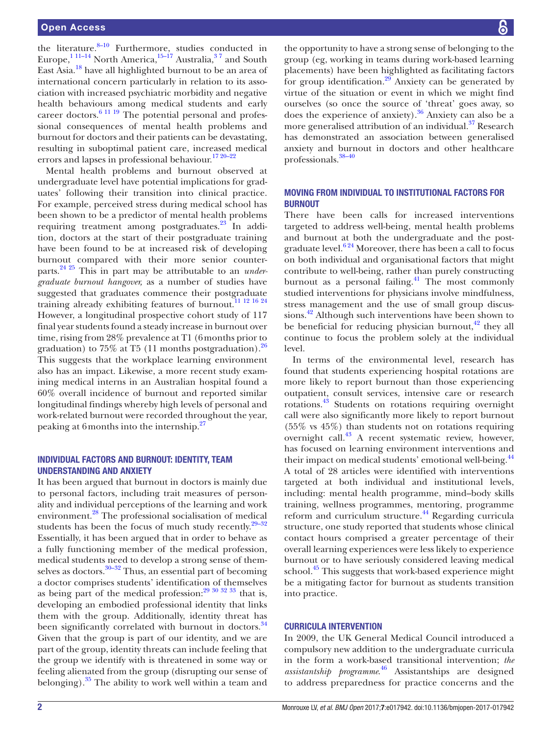the literature.<sup>8–10</sup> Furthermore, studies conducted in Europe, $^{1}$ <sup>11–14</sup> North America, $^{15-17}$  Australia, $^{37}$  and South East Asia[.18](#page-10-1) have all highlighted burnout to be an area of international concern particularly in relation to its association with increased psychiatric morbidity and negative health behaviours among medical students and early career doctors.<sup>6 11 19</sup> The potential personal and professional consequences of mental health problems and burnout for doctors and their patients can be devastating, resulting in suboptimal patient care, increased medical errors and lapses in professional behaviour.<sup>[17 20–22](#page-10-2)</sup>

Mental health problems and burnout observed at undergraduate level have potential implications for graduates' following their transition into clinical practice. For example, perceived stress during medical school has been shown to be a predictor of mental health problems requiring treatment among postgraduates.<sup>23</sup> In addition, doctors at the start of their postgraduate training have been found to be at increased risk of developing burnout compared with their more senior counterparts.[24 25](#page-10-4) This in part may be attributable to an *undergraduate burnout hangover,* as a number of studies have suggested that graduates commence their postgraduate training already exhibiting features of burnout.<sup>[11 12 16 24](#page-9-4)</sup> However, a longitudinal prospective cohort study of 117 final year students found a steady increase in burnout over time, rising from 28% prevalence at T1 (6months prior to graduation) to 75% at T5 (11 months postgraduation). $^{26}$ This suggests that the workplace learning environment also has an impact. Likewise, a more recent study examining medical interns in an Australian hospital found a 60% overall incidence of burnout and reported similar longitudinal findings whereby high levels of personal and work-related burnout were recorded throughout the year, peaking at 6months into the internship[.27](#page-10-6)

# Individual factors and burnout: identity, team understanding and anxiety

It has been argued that burnout in doctors is mainly due to personal factors, including trait measures of personality and individual perceptions of the learning and work environment[.28](#page-10-7) The professional socialisation of medical students has been the focus of much study recently. $29-32$ Essentially, it has been argued that in order to behave as a fully functioning member of the medical profession, medical students need to develop a strong sense of them-selves as doctors.<sup>[30–32](#page-10-9)</sup> Thus, an essential part of becoming a doctor comprises students' identification of themselves as being part of the medical profession: $29\frac{30\frac{32\frac{33}{32}}{33}}{100\frac{32\frac{33}{32}}{33}}$ developing an embodied professional identity that links them with the group. Additionally, identity threat has been significantly correlated with burnout in doctors.<sup>34</sup> Given that the group is part of our identity, and we are part of the group, identity threats can include feeling that the group we identify with is threatened in some way or feeling alienated from the group (disrupting our sense of belonging). $35$  The ability to work well within a team and

the opportunity to have a strong sense of belonging to the group (eg, working in teams during work-based learning placements) have been highlighted as facilitating factors for group identification. $29$  Anxiety can be generated by virtue of the situation or event in which we might find ourselves (so once the source of 'threat' goes away, so does the experience of anxiety). $36$  Anxiety can also be a more generalised attribution of an individual.<sup>37</sup> Research has demonstrated an association between generalised anxiety and burnout in doctors and other healthcare professionals.[38–40](#page-10-14)

# Moving from individual to institutional factors for **BURNOUT**

There have been calls for increased interventions targeted to address well-being, mental health problems and burnout at both the undergraduate and the postgraduate level. $6^{24}$  Moreover, there has been a call to focus on both individual and organisational factors that might contribute to well-being, rather than purely constructing burnout as a personal failing.<sup>41</sup> The most commonly studied interventions for physicians involve mindfulness, stress management and the use of small group discussions.<sup>42</sup> Although such interventions have been shown to be beneficial for reducing physician burnout, $42$  they all continue to focus the problem solely at the individual level.

In terms of the environmental level, research has found that students experiencing hospital rotations are more likely to report burnout than those experiencing outpatient, consult services, intensive care or research rotations.[43](#page-10-17) Students on rotations requiring overnight call were also significantly more likely to report burnout (55% vs 45%) than students not on rotations requiring overnight call.[43](#page-10-17) A recent systematic review, however, has focused on learning environment interventions and their impact on medical students' emotional well-being.<sup>[44](#page-10-18)</sup> A total of 28 articles were identified with interventions targeted at both individual and institutional levels, including: mental health programme, mind–body skills training, wellness programmes, mentoring, programme reform and curriculum structure.<sup>44</sup> Regarding curricula structure, one study reported that students whose clinical contact hours comprised a greater percentage of their overall learning experiences were less likely to experience burnout or to have seriously considered leaving medical school.<sup>45</sup> This suggests that work-based experience might be a mitigating factor for burnout as students transition into practice.

# Curricula intervention

In 2009, the UK General Medical Council introduced a compulsory new addition to the undergraduate curricula in the form a work-based transitional intervention; *the assistantship programme*. [46](#page-10-20) Assistantships are designed to address preparedness for practice concerns and the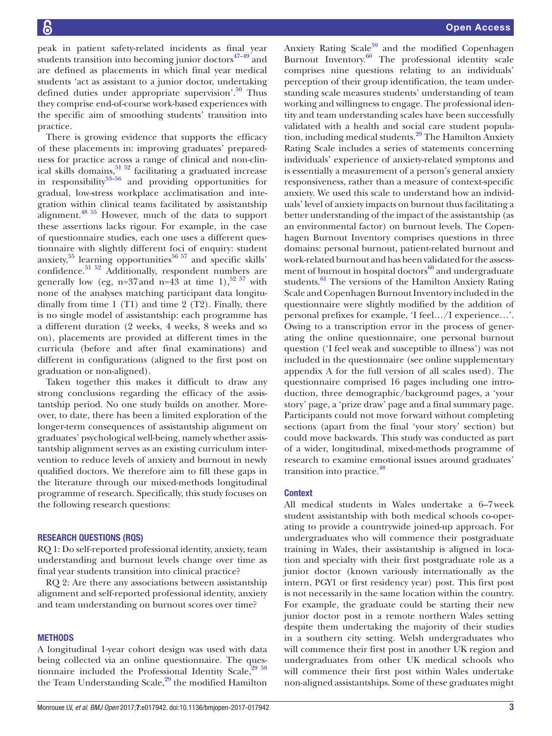peak in patient safety-related incidents as final year students transition into becoming junior doctors $47-49$  and are defined as placements in which final year medical students 'act as assistant to a junior doctor, undertaking defined duties under appropriate supervision'.<sup>50</sup> Thus they comprise end-of-course work-based experiences with the specific aim of smoothing students' transition into practice.

There is growing evidence that supports the efficacy of these placements in: improving graduates' preparedness for practice across a range of clinical and non-clinical skills domains,<sup>51 52</sup> facilitating a graduated increase in responsibility<sup>53–56</sup> and providing opportunities for gradual, low-stress workplace acclimatisation and integration within clinical teams facilitated by assistantship alignment. $48\frac{55}{2}$  However, much of the data to support these assertions lacks rigour. For example, in the case of questionnaire studies, each one uses a different questionnaire with slightly different foci of enquiry: student anxiety, $55$  learning opportunities $5657$  and specific skills' confidence.<sup>[51 52](#page-10-23)</sup> Additionally, respondent numbers are generally low (eg, n=37 and n=43 at time 1),<sup>[52 57](#page-10-28)</sup> with none of the analyses matching participant data longitudinally from time 1 (T1) and time 2 (T2). Finally, there is no single model of assistantship: each programme has a different duration (2 weeks, 4 weeks, 8 weeks and so on), placements are provided at different times in the curricula (before and after final examinations) and different in configurations (aligned to the first post on graduation or non-aligned).

Taken together this makes it difficult to draw any strong conclusions regarding the efficacy of the assistantship period. No one study builds on another. Moreover, to date, there has been a limited exploration of the longer-term consequences of assistantship alignment on graduates' psychological well-being, namely whether assistantship alignment serves as an existing curriculum intervention to reduce levels of anxiety and burnout in newly qualified doctors. We therefore aim to fill these gaps in the literature through our mixed-methods longitudinal programme of research. Specifically, this study focuses on the following research questions:

#### Research questions (RQs)

RQ 1: Do self-reported professional identity, anxiety, team understanding and burnout levels change over time as final year students transition into clinical practice?

RQ 2: Are there any associations between assistantship alignment and self-reported professional identity, anxiety and team understanding on burnout scores over time?

### **METHODS**

A longitudinal 1-year cohort design was used with data being collected via an online questionnaire. The questionnaire included the Professional Identity Scale, $29\frac{58}{6}$ the Team Understanding Scale,<sup>29</sup> the modified Hamilton

Anxiety Rating Scale $59$  and the modified Copenhagen Burnout Inventory. $\frac{60}{n}$  The professional identity scale comprises nine questions relating to an individuals' perception of their group identification, the team understanding scale measures students' understanding of team working and willingness to engage. The professional identity and team understanding scales have been successfully validated with a health and social care student population, including medical students.<sup>29</sup> The Hamilton Anxiety Rating Scale includes a series of statements concerning individuals' experience of anxiety-related symptoms and is essentially a measurement of a person's general anxiety responsiveness, rather than a measure of context-specific anxiety. We used this scale to understand how an individuals' level of anxiety impacts on burnout thus facilitating a better understanding of the impact of the assistantship (as an environmental factor) on burnout levels. The Copenhagen Burnout Inventory comprises questions in three domains: personal burnout, patient-related burnout and work-related burnout and has been validated for the assessment of burnout in hospital doctors $^{60}$  $^{60}$  $^{60}$  and undergraduate students. $61$  The versions of the Hamilton Anxiety Rating Scale and Copenhagen Burnout Inventory included in the questionnaire were slightly modified by the addition of personal prefixes for example, 'I feel…/I experience…'. Owing to a transcription error in the process of generating the online questionnaire, one personal burnout question ('I feel weak and susceptible to illness') was not included in the questionnaire (see online [supplementary](https://dx.doi.org/10.1136/bmjopen-2017-017942)  [appendix A](https://dx.doi.org/10.1136/bmjopen-2017-017942) for the full version of all scales used). The questionnaire comprised 16 pages including one introduction, three demographic/background pages, a 'your story' page, a 'prize draw' page and a final summary page. Participants could not move forward without completing sections (apart from the final 'your story' section) but could move backwards. This study was conducted as part of a wider, longitudinal, mixed-methods programme of research to examine emotional issues around graduates' transition into practice.<sup>48</sup>

### **Context**

All medical students in Wales undertake a 6–7week student assistantship with both medical schools co-operating to provide a countrywide joined-up approach. For undergraduates who will commence their postgraduate training in Wales, their assistantship is aligned in location and specialty with their first postgraduate role as a junior doctor (known variously internationally as the intern, PGY1 or first residency year) post. This first post is not necessarily in the same location within the country. For example, the graduate could be starting their new junior doctor post in a remote northern Wales setting despite them undertaking the majority of their studies in a southern city setting. Welsh undergraduates who will commence their first post in another UK region and undergraduates from other UK medical schools who will commence their first post within Wales undertake non-aligned assistantships. Some of these graduates might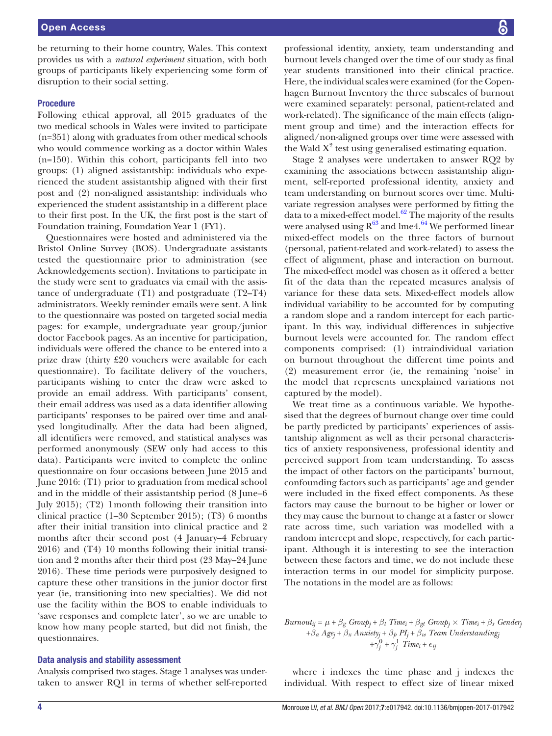be returning to their home country, Wales. This context provides us with a *natural experiment* situation, with both groups of participants likely experiencing some form of disruption to their social setting.

#### **Procedure**

Following ethical approval, all 2015 graduates of the two medical schools in Wales were invited to participate (n=351) along with graduates from other medical schools who would commence working as a doctor within Wales (n=150). Within this cohort, participants fell into two groups: (1) aligned assistantship: individuals who experienced the student assistantship aligned with their first post and (2) non-aligned assistantship: individuals who experienced the student assistantship in a different place to their first post. In the UK, the first post is the start of Foundation training, Foundation Year 1 (FY1).

Questionnaires were hosted and administered via the Bristol Online Survey (BOS). Undergraduate assistants tested the questionnaire prior to administration (see Acknowledgements section). Invitations to participate in the study were sent to graduates via email with the assistance of undergraduate (T1) and postgraduate (T2–T4) administrators. Weekly reminder emails were sent. A link to the questionnaire was posted on targeted social media pages: for example, undergraduate year group/junior doctor Facebook pages. As an incentive for participation, individuals were offered the chance to be entered into a prize draw (thirty £20 vouchers were available for each questionnaire). To facilitate delivery of the vouchers, participants wishing to enter the draw were asked to provide an email address. With participants' consent, their email address was used as a data identifier allowing participants' responses to be paired over time and analysed longitudinally. After the data had been aligned, all identifiers were removed, and statistical analyses was performed anonymously (SEW only had access to this data). Participants were invited to complete the online questionnaire on four occasions between June 2015 and June 2016: (T1) prior to graduation from medical school and in the middle of their assistantship period (8 June–6 July 2015); (T2) 1month following their transition into clinical practice (1–30 September 2015); (T3) 6 months after their initial transition into clinical practice and 2 months after their second post (4 January–4 February 2016) and (T4) 10 months following their initial transition and 2 months after their third post (23 May–24 June 2016). These time periods were purposively designed to capture these other transitions in the junior doctor first year (ie, transitioning into new specialties). We did not use the facility within the BOS to enable individuals to 'save responses and complete later', so we are unable to know how many people started, but did not finish, the questionnaires.

#### Data analysis and stability assessment

Analysis comprised two stages. Stage 1 analyses was undertaken to answer RQ1 in terms of whether self-reported

professional identity, anxiety, team understanding and burnout levels changed over the time of our study as final year students transitioned into their clinical practice. Here, the individual scales were examined (for the Copenhagen Burnout Inventory the three subscales of burnout were examined separately: personal, patient-related and work-related). The significance of the main effects (alignment group and time) and the interaction effects for aligned/non-aligned groups over time were assessed with the Wald  $X^2$  test using generalised estimating equation.

Stage 2 analyses were undertaken to answer RQ2 by examining the associations between assistantship alignment, self-reported professional identity, anxiety and team understanding on burnout scores over time. Multivariate regression analyses were performed by fitting the data to a mixed-effect model. $62$  The majority of the results were analysed using  $R^{63}$  and lme4.<sup>64</sup> We performed linear mixed-effect models on the three factors of burnout (personal, patient-related and work-related) to assess the effect of alignment, phase and interaction on burnout. The mixed-effect model was chosen as it offered a better fit of the data than the repeated measures analysis of variance for these data sets. Mixed-effect models allow individual variability to be accounted for by computing a random slope and a random intercept for each participant. In this way, individual differences in subjective burnout levels were accounted for. The random effect components comprised: (1) intraindividual variation on burnout throughout the different time points and (2) measurement error (ie, the remaining 'noise' in the model that represents unexplained variations not captured by the model).

We treat time as a continuous variable. We hypothesised that the degrees of burnout change over time could be partly predicted by participants' experiences of assistantship alignment as well as their personal characteristics of anxiety responsiveness, professional identity and perceived support from team understanding. To assess the impact of other factors on the participants' burnout, confounding factors such as participants' age and gender were included in the fixed effect components. As these factors may cause the burnout to be higher or lower or they may cause the burnout to change at a faster or slower rate across time, such variation was modelled with a random intercept and slope, respectively, for each participant. Although it is interesting to see the interaction between these factors and time, we do not include these interaction terms in our model for simplicity purpose. The notations in the model are as follows:

 $Burnout_{ij} = \mu + \beta_g$   $Group_j + \beta_t$   $Time_i + \beta_{gt}$   $Group_j \times Time_i + \beta_s$   $Gender_j$ +*β<sup>a</sup> Agej* + *β<sup>x</sup> Anxietyj* + *β<sup>p</sup> PIj* + *β<sup>w</sup> Team Understandingj*  $+\gamma_j^0 + \gamma_j^1$  *Time<sub>i</sub>* +  $\epsilon_j$ 

where i indexes the time phase and j indexes the individual. With respect to effect size of linear mixed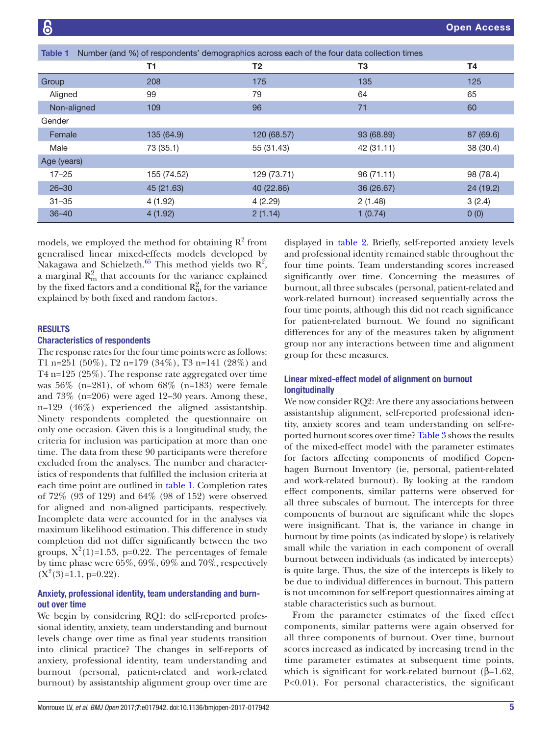<span id="page-4-0"></span>

| Table 1     | Number (and %) of respondents' demographics across each of the four data collection times |             |            |           |  |
|-------------|-------------------------------------------------------------------------------------------|-------------|------------|-----------|--|
|             | <b>T1</b>                                                                                 | T2          | T3         | <b>T4</b> |  |
| Group       | 208                                                                                       | 175         | 135        | 125       |  |
| Aligned     | 99                                                                                        | 79          | 64         | 65        |  |
| Non-aligned | 109                                                                                       | 96          | 71         | 60        |  |
| Gender      |                                                                                           |             |            |           |  |
| Female      | 135 (64.9)                                                                                | 120 (68.57) | 93 (68.89) | 87 (69.6) |  |
| Male        | 73 (35.1)                                                                                 | 55 (31.43)  | 42 (31.11) | 38 (30.4) |  |
| Age (years) |                                                                                           |             |            |           |  |
| $17 - 25$   | 155 (74.52)                                                                               | 129 (73.71) | 96 (71.11) | 98 (78.4) |  |
| $26 - 30$   | 45 (21.63)                                                                                | 40 (22.86)  | 36 (26.67) | 24 (19.2) |  |
| $31 - 35$   | 4 (1.92)                                                                                  | 4(2.29)     | 2(1.48)    | 3(2.4)    |  |
| $36 - 40$   | 4(1.92)                                                                                   | 2(1.14)     | 1(0.74)    | 0(0)      |  |

models, we employed the method for obtaining  $R^2$  from generalised linear mixed-effects models developed by Nakagawa and Schielzeth.<sup>[65](#page-10-35)</sup> This method yields two  $R^2$ , a marginal  $R_{\rm m}^2$  that accounts for the variance explained by the fixed factors and a conditional  $R_{\rm m}^2$  for the variance explained by both fixed and random factors.

## **RESULTS**

#### Characteristics of respondents

The response rates for the four time points were as follows: T1 n=251 (50%), T2 n=179 (34%), T3 n=141 (28%) and T4 n=125 (25%). The response rate aggregated over time was 56% (n=281), of whom 68% (n=183) were female and 73% (n=206) were aged 12–30 years. Among these, n=129 (46%) experienced the aligned assistantship. Ninety respondents completed the questionnaire on only one occasion. Given this is a longitudinal study, the criteria for inclusion was participation at more than one time. The data from these 90 participants were therefore excluded from the analyses. The number and characteristics of respondents that fulfilled the inclusion criteria at each time point are outlined in [table](#page-4-0) 1. Completion rates of 72% (93 of 129) and 64% (98 of 152) were observed for aligned and non-aligned participants, respectively. Incomplete data were accounted for in the analyses via maximum likelihood estimation. This difference in study completion did not differ significantly between the two groups,  $X^2(1)=1.53$ , p=0.22. The percentages of female by time phase were 65%, 69%, 69% and 70%, respectively  $(X^2(3)=1.1, p=0.22)$ .

# Anxiety, professional identity, team understanding and burnout over time

We begin by considering RQ1: do self-reported professional identity, anxiety, team understanding and burnout levels change over time as final year students transition into clinical practice? The changes in self-reports of anxiety, professional identity, team understanding and burnout (personal, patient-related and work-related burnout) by assistantship alignment group over time are

displayed in [table](#page-5-0) 2. Briefly, self-reported anxiety levels and professional identity remained stable throughout the four time points. Team understanding scores increased significantly over time. Concerning the measures of burnout, all three subscales (personal, patient-related and work-related burnout) increased sequentially across the four time points, although this did not reach significance for patient-related burnout. We found no significant differences for any of the measures taken by alignment group nor any interactions between time and alignment group for these measures.

# Linear mixed-effect model of alignment on burnout longitudinally

We now consider RQ2: Are there any associations between assistantship alignment, self-reported professional identity, anxiety scores and team understanding on self-reported burnout scores over time? [Table](#page-6-0) 3 shows the results of the mixed-effect model with the parameter estimates for factors affecting components of modified Copenhagen Burnout Inventory (ie, personal, patient-related and work-related burnout). By looking at the random effect components, similar patterns were observed for all three subscales of burnout. The intercepts for three components of burnout are significant while the slopes were insignificant. That is, the variance in change in burnout by time points (as indicated by slope) is relatively small while the variation in each component of overall burnout between individuals (as indicated by intercepts) is quite large. Thus, the size of the intercepts is likely to be due to individual differences in burnout. This pattern is not uncommon for self-report questionnaires aiming at stable characteristics such as burnout.

From the parameter estimates of the fixed effect components, similar patterns were again observed for all three components of burnout. Over time, burnout scores increased as indicated by increasing trend in the time parameter estimates at subsequent time points, which is significant for work-related burnout ( $\beta$ =1.62, P<0.01). For personal characteristics, the significant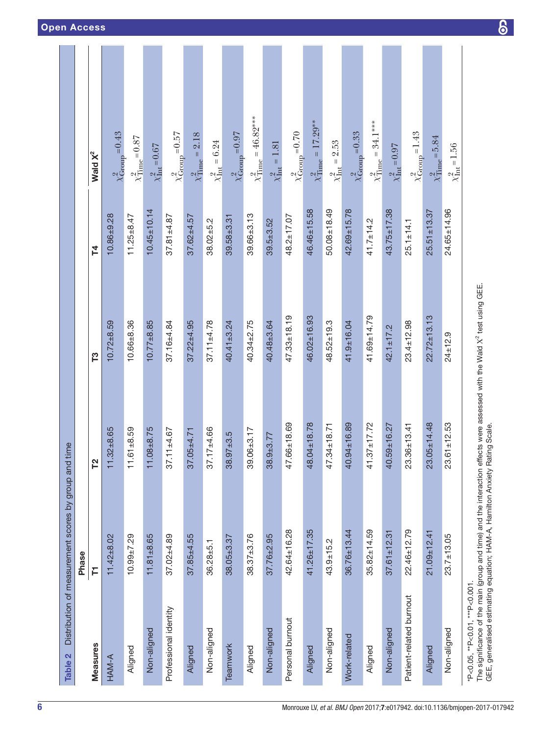| Table 2                        | Distribution of measurement scores by group and time |                   |                   |                   |                                     |
|--------------------------------|------------------------------------------------------|-------------------|-------------------|-------------------|-------------------------------------|
|                                | Phase                                                |                   |                   |                   |                                     |
| Measures                       | Ē                                                    | 72                | T3                | 74                | Wald $X^2$                          |
| HAM-A                          | $11.42 + 8.02$                                       | $11.32 + 8.65$    | $10.72 + 8.59$    | $10.86 + 9.28$    | $\chi^2_{\text{Group}} = 0.43$      |
| Aligned                        | $10.99 + 7.29$                                       | $11.61 + 8.59$    | $10.66 + 8.36$    | $11.25 + 8.47$    | $\chi^2_\text{Time}\!=\!0.87$       |
| Non-aligned                    | $11.81 + 8.65$                                       | $11.08 + 8.75$    | $10.77 + 8.85$    | $10.45 \pm 10.14$ | $\chi^2_{\rm Int}\!=\!0.67$         |
| Professional identity          | $37.02 + 4.89$                                       | $37.11 \pm 4.67$  | $37.16 + 4.84$    | $37.81 + 4.87$    | $\chi^2_{\rm Group}$ = 0.57         |
| Aligned                        | $37.85 + 4.55$                                       | $37.05 + 4.71$    | $37.22 + 4.95$    | $37.62 + 4.57$    | $\chi^2_{\text{Time}} = 2.18$       |
| Non-aligned                    | $36.28 + 5.1$                                        | $37.17 + 4.66$    | $37.11 + 4.78$    | $38.02 + 5.2$     | $\chi^{2}_{\rm Int} = 6.24$         |
| Teamwork                       | $38.05 + 3.37$                                       | $38.97 + 3.5$     | $40.41 \pm 3.24$  | $39.58 + 3.31$    | $\chi^2_\mathrm{Group}\!=\!0.97$    |
| Aligned                        | $38.37 + 3.76$                                       | $39.06 + 3.17$    | $40.34 + 2.75$    | $39.66 + 3.13$    | $\chi^2_{\rm Time} = 46.82^{***}$   |
| Non-aligned                    | $37.76 + 2.95$                                       | $38.9 + 3.77$     | 40.48±3.64        | $39.5 + 3.52$     | $\chi^{2}_{\text{Int}} = 1.81$      |
| Personal burnout               | 42.64±16.28                                          | 47.66±18.69       | $47.33 \pm 18.19$ | $48.2 \pm 17.07$  | $\chi^2_{\rm Group}$ = 0.70         |
| Aligned                        | $41.26 + 17.35$                                      | 48.04±18.78       | 46.02±16.93       | $46.46 \pm 15.58$ | $\chi^{2}_{\text{Time}} = 17.29***$ |
| Non-aligned                    | $43.9 + 15.2$                                        | 47.34±18.71       | $48.52 \pm 19.3$  | $50.08 + 18.49$   | $\chi^2_{\rm Int} = 2.53$           |
| Work-related                   | $36.76 \pm 13.44$                                    | 40.94±16.89       | $41.9 + 16.04$    | $42.69 + 15.78$   | $\chi^2_{\rm Group}$ = 0.33         |
| Aligned                        | $35.82 \pm 14.59$                                    | $41.37 \pm 17.72$ | 41.69±14.79       | $41.7 \pm 14.2$   | $\chi^2_{\text{Time}} = 34.1***$    |
| Non-aligned                    | $37.61 \pm 12.31$                                    | 40.59±16.27       | $42.1 + 17.2$     | $43.75 \pm 17.38$ | $\chi^2_{\rm Int}\!=\!0.97$         |
| Patient-related burnout        | $22.46 \pm 12.79$                                    | $23.36 \pm 13.41$ | $23.4 \pm 12.98$  | $25.1 \pm 14.1$   | $\chi^2_{\text{Group}} = 1.43$      |
| Aligned                        | $21.09 + 12.41$                                      | $23.05 \pm 14.48$ | $22.72 \pm 13.13$ | $25.51 \pm 13.37$ | $\times^2$ Time = 5.84              |
| Non-aligned                    | $23.7 + 13.05$                                       | $23.61 \pm 12.53$ | $24 \pm 12.9$     | $24.65 \pm 14.96$ | $\chi^{2}_{\text{Int}} = 1.56$      |
| *P<0.05, **P<0.01, ***P<0.001. |                                                      |                   |                   |                   |                                     |

The significance of the main (group and time) and the interaction effects were assessed with the Wald

<span id="page-5-0"></span>GEE, generalised estimating equation; HAM-A, Hamilton Anxiety Rating Scale.

Χ2 test using GEE.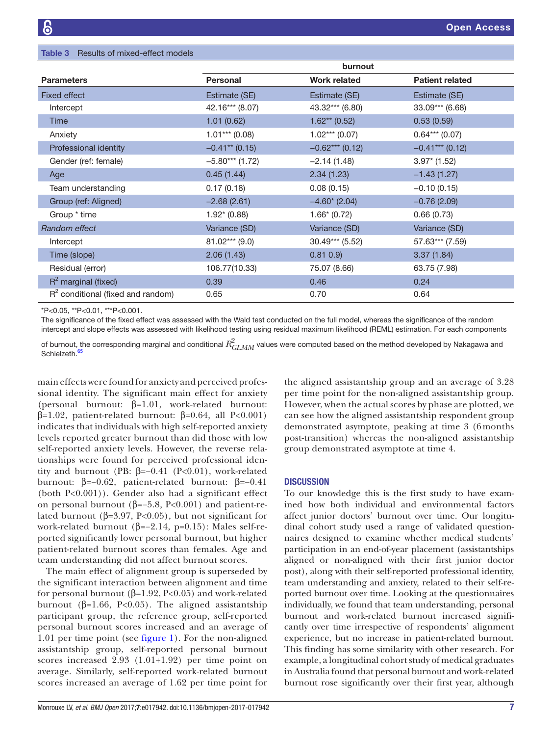<span id="page-6-0"></span>

| <b>Table 3</b> Results of mixed-effect models |                   |                             |                        |  |  |
|-----------------------------------------------|-------------------|-----------------------------|------------------------|--|--|
|                                               | burnout           |                             |                        |  |  |
| <b>Parameters</b>                             | <b>Personal</b>   | <b>Work related</b>         | <b>Patient related</b> |  |  |
| <b>Fixed effect</b>                           | Estimate (SE)     | Estimate (SE)               | Estimate (SE)          |  |  |
| Intercept                                     | 42.16*** (8.07)   | 43.32*** (6.80)             | 33.09*** (6.68)        |  |  |
| <b>Time</b>                                   | 1.01(0.62)        | $1.62**$ (0.52)             | 0.53(0.59)             |  |  |
| Anxiety                                       | $1.01***$ (0.08)  | $1.02***(0.07)$             | $0.64***$ (0.07)       |  |  |
| Professional identity                         | $-0.41**$ (0.15)  | $-0.62***$ (0.12)           | $-0.41***$ (0.12)      |  |  |
| Gender (ref: female)                          | $-5.80***$ (1.72) | $-2.14(1.48)$               | $3.97*(1.52)$          |  |  |
| Age                                           | 0.45(1.44)        | 2.34(1.23)                  | $-1.43(1.27)$          |  |  |
| Team understanding                            | 0.17(0.18)        | 0.08(0.15)                  | $-0.10(0.15)$          |  |  |
| Group (ref: Aligned)                          | $-2.68(2.61)$     | $-4.60$ <sup>*</sup> (2.04) | $-0.76(2.09)$          |  |  |
| Group * time                                  | $1.92^* (0.88)$   | $1.66*(0.72)$               | 0.66(0.73)             |  |  |
| Random effect                                 | Variance (SD)     | Variance (SD)               | Variance (SD)          |  |  |
| Intercept                                     | $81.02***$ (9.0)  | 30.49*** (5.52)             | 57.63*** (7.59)        |  |  |
| Time (slope)                                  | 2.06(1.43)        | $0.81$ $0.9$ )              | 3.37(1.84)             |  |  |
| Residual (error)                              | 106.77(10.33)     | 75.07 (8.66)                | 63.75 (7.98)           |  |  |
| $R^2$ marginal (fixed)                        | 0.39              | 0.46                        | 0.24                   |  |  |
| $R2$ conditional (fixed and random)           | 0.65              | 0.70                        | 0.64                   |  |  |

\*P<0.05, \*\*P<0.01, \*\*\*P<0.001.

The significance of the fixed effect was assessed with the Wald test conducted on the full model, whereas the significance of the random intercept and slope effects was assessed with likelihood testing using residual maximum likelihood (REML) estimation. For each components

of burnout, the corresponding marginal and conditional  $R_{GLMM}^2$  values were computed based on the method developed by Nakagawa and Schielzeth.<sup>[65](#page-10-35)</sup>

main effects were found for anxiety and perceived professional identity. The significant main effect for anxiety (personal burnout: β=1.01, work-related burnout: β=1.02, patient-related burnout: β=0.64, all P<0.001) indicates that individuals with high self-reported anxiety levels reported greater burnout than did those with low self-reported anxiety levels. However, the reverse relationships were found for perceived professional identity and burnout (PB:  $β=-0.41$  (P<0.01), work-related burnout: β=−0.62, patient-related burnout: β=−0.41 (both P<0.001)). Gender also had a significant effect on personal burnout ( $β=-5.8$ , P<0.001) and patient-related burnout ( $β=3.97$ , P<0.05), but not significant for work-related burnout ( $\beta$ =−2.14, p=0.15): Males self-reported significantly lower personal burnout, but higher patient-related burnout scores than females. Age and team understanding did not affect burnout scores.

The main effect of alignment group is superseded by the significant interaction between alignment and time for personal burnout (β=1.92, P<0.05) and work-related burnout (β=1.66, P<0.05). The aligned assistantship participant group, the reference group, self-reported personal burnout scores increased and an average of 1.01 per time point (see [figure](#page-7-0) 1). For the non-aligned assistantship group, self-reported personal burnout scores increased 2.93 (1.01+1.92) per time point on average. Similarly, self-reported work-related burnout scores increased an average of 1.62 per time point for

the aligned assistantship group and an average of 3.28 per time point for the non-aligned assistantship group. However, when the actual scores by phase are plotted, we can see how the aligned assistantship respondent group demonstrated asymptote, peaking at time 3 (6 months post-transition) whereas the non-aligned assistantship group demonstrated asymptote at time 4.

# **DISCUSSION**

To our knowledge this is the first study to have examined how both individual and environmental factors affect junior doctors' burnout over time. Our longitudinal cohort study used a range of validated questionnaires designed to examine whether medical students' participation in an end-of-year placement (assistantships aligned or non-aligned with their first junior doctor post), along with their self-reported professional identity, team understanding and anxiety, related to their self-reported burnout over time. Looking at the questionnaires individually, we found that team understanding, personal burnout and work-related burnout increased significantly over time irrespective of respondents' alignment experience, but no increase in patient-related burnout. This finding has some similarity with other research. For example, a longitudinal cohort study of medical graduates in Australia found that personal burnout and work-related burnout rose significantly over their first year, although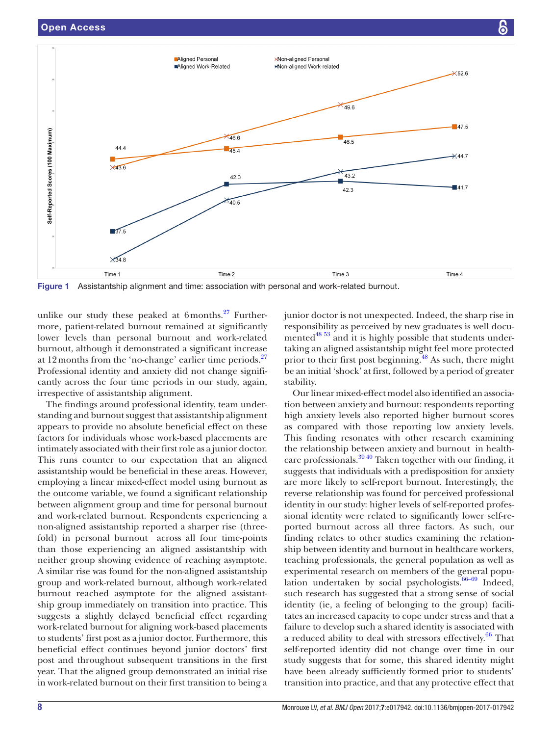

<span id="page-7-0"></span>Figure 1 Assistantship alignment and time: association with personal and work-related burnout.

unlike our study these peaked at  $6$ months.<sup>27</sup> Furthermore, patient-related burnout remained at significantly lower levels than personal burnout and work-related burnout, although it demonstrated a significant increase at 12 months from the 'no-change' earlier time periods. $27$ Professional identity and anxiety did not change significantly across the four time periods in our study, again, irrespective of assistantship alignment.

The findings around professional identity, team understanding and burnout suggest that assistantship alignment appears to provide no absolute beneficial effect on these factors for individuals whose work-based placements are intimately associated with their first role as a junior doctor. This runs counter to our expectation that an aligned assistantship would be beneficial in these areas. However, employing a linear mixed-effect model using burnout as the outcome variable, we found a significant relationship between alignment group and time for personal burnout and work-related burnout. Respondents experiencing a non-aligned assistantship reported a sharper rise (threefold) in personal burnout across all four time-points than those experiencing an aligned assistantship with neither group showing evidence of reaching asymptote. A similar rise was found for the non-aligned assistantship group and work-related burnout, although work-related burnout reached asymptote for the aligned assistantship group immediately on transition into practice. This suggests a slightly delayed beneficial effect regarding work-related burnout for aligning work-based placements to students' first post as a junior doctor. Furthermore, this beneficial effect continues beyond junior doctors' first post and throughout subsequent transitions in the first year. That the aligned group demonstrated an initial rise in work-related burnout on their first transition to being a

junior doctor is not unexpected. Indeed, the sharp rise in responsibility as perceived by new graduates is well documented<sup>48 53</sup> and it is highly possible that students undertaking an aligned assistantship might feel more protected prior to their first post beginning.<sup>48</sup> As such, there might be an initial 'shock' at first, followed by a period of greater stability.

Our linear mixed-effect model also identified an association between anxiety and burnout: respondents reporting high anxiety levels also reported higher burnout scores as compared with those reporting low anxiety levels. This finding resonates with other research examining the relationship between anxiety and burnout in healthcare professionals. $39\frac{40}{3}$  Taken together with our finding, it suggests that individuals with a predisposition for anxiety are more likely to self-report burnout. Interestingly, the reverse relationship was found for perceived professional identity in our study: higher levels of self-reported professional identity were related to significantly lower self-reported burnout across all three factors. As such, our finding relates to other studies examining the relationship between identity and burnout in healthcare workers, teaching professionals, the general population as well as experimental research on members of the general population undertaken by social psychologists. $66-69$  Indeed, such research has suggested that a strong sense of social identity (ie, a feeling of belonging to the group) facilitates an increased capacity to cope under stress and that a failure to develop such a shared identity is associated with a reduced ability to deal with stressors effectively.<sup>66</sup> That self-reported identity did not change over time in our study suggests that for some, this shared identity might have been already sufficiently formed prior to students' transition into practice, and that any protective effect that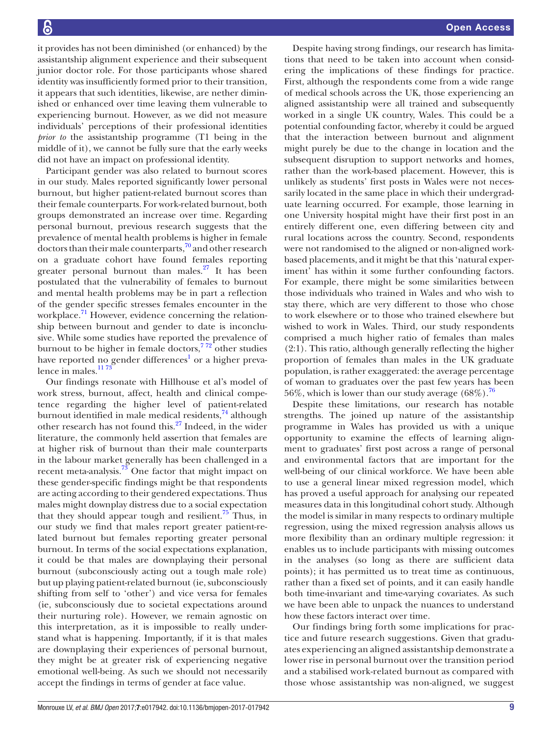it provides has not been diminished (or enhanced) by the assistantship alignment experience and their subsequent junior doctor role. For those participants whose shared identity was insufficiently formed prior to their transition, it appears that such identities, likewise, are nether diminished or enhanced over time leaving them vulnerable to experiencing burnout. However, as we did not measure individuals' perceptions of their professional identities *prior to* the assistantship programme (T1 being in the middle of it), we cannot be fully sure that the early weeks did not have an impact on professional identity.

Participant gender was also related to burnout scores in our study. Males reported significantly lower personal burnout, but higher patient-related burnout scores than their female counterparts. For work-related burnout, both groups demonstrated an increase over time. Regarding personal burnout, previous research suggests that the prevalence of mental health problems is higher in female doctors than their male counterparts, $\frac{70}{2}$  $\frac{70}{2}$  $\frac{70}{2}$  and other research on a graduate cohort have found females reporting greater personal burnout than males. $27$  It has been postulated that the vulnerability of females to burnout and mental health problems may be in part a reflection of the gender specific stresses females encounter in the workplace. $\frac{71}{1}$  $\frac{71}{1}$  $\frac{71}{1}$  However, evidence concerning the relationship between burnout and gender to date is inconclusive. While some studies have reported the prevalence of burnout to be higher in female doctors,  $772$  other studies have reported no gender differences<sup>[1](#page-9-0)</sup> or a higher prevalence in males.<sup>1173</sup>

Our findings resonate with Hillhouse et al's model of work stress, burnout, affect, health and clinical competence regarding the higher level of patient-related burnout identified in male medical residents, $74$  although other research has not found this.[27](#page-10-6) Indeed, in the wider literature, the commonly held assertion that females are at higher risk of burnout than their male counterparts in the labour market generally has been challenged in a recent meta-analysis[.73](#page-11-3) One factor that might impact on these gender-specific findings might be that respondents are acting according to their gendered expectations. Thus males might downplay distress due to a social expectation that they should appear tough and resilient.<sup>75</sup> Thus, in our study we find that males report greater patient-related burnout but females reporting greater personal burnout. In terms of the social expectations explanation, it could be that males are downplaying their personal burnout (subconsciously acting out a tough male role) but up playing patient-related burnout (ie, subconsciously shifting from self to 'other') and vice versa for females (ie, subconsciously due to societal expectations around their nurturing role). However, we remain agnostic on this interpretation, as it is impossible to really understand what is happening. Importantly, if it is that males are downplaying their experiences of personal burnout, they might be at greater risk of experiencing negative emotional well-being. As such we should not necessarily accept the findings in terms of gender at face value.

Despite having strong findings, our research has limitations that need to be taken into account when considering the implications of these findings for practice. First, although the respondents come from a wide range of medical schools across the UK, those experiencing an aligned assistantship were all trained and subsequently worked in a single UK country, Wales. This could be a potential confounding factor, whereby it could be argued that the interaction between burnout and alignment might purely be due to the change in location and the subsequent disruption to support networks and homes, rather than the work-based placement. However, this is unlikely as students' first posts in Wales were not necessarily located in the same place in which their undergraduate learning occurred. For example, those learning in one University hospital might have their first post in an entirely different one, even differing between city and rural locations across the country. Second, respondents were not randomised to the aligned or non-aligned workbased placements, and it might be that this 'natural experiment' has within it some further confounding factors. For example, there might be some similarities between those individuals who trained in Wales and who wish to stay there, which are very different to those who chose to work elsewhere or to those who trained elsewhere but wished to work in Wales. Third, our study respondents comprised a much higher ratio of females than males (2:1). This ratio, although generally reflecting the higher proportion of females than males in the UK graduate population, is rather exaggerated: the average percentage of woman to graduates over the past few years has been 56%, which is lower than our study average  $(68\%)$ .<sup>76</sup>

Despite these limitations, our research has notable strengths. The joined up nature of the assistantship programme in Wales has provided us with a unique opportunity to examine the effects of learning alignment to graduates' first post across a range of personal and environmental factors that are important for the well-being of our clinical workforce. We have been able to use a general linear mixed regression model, which has proved a useful approach for analysing our repeated measures data in this longitudinal cohort study. Although the model is similar in many respects to ordinary multiple regression, using the mixed regression analysis allows us more flexibility than an ordinary multiple regression: it enables us to include participants with missing outcomes in the analyses (so long as there are sufficient data points); it has permitted us to treat time as continuous, rather than a fixed set of points, and it can easily handle both time-invariant and time-varying covariates. As such we have been able to unpack the nuances to understand how these factors interact over time.

Our findings bring forth some implications for practice and future research suggestions. Given that graduates experiencing an aligned assistantship demonstrate a lower rise in personal burnout over the transition period and a stabilised work-related burnout as compared with those whose assistantship was non-aligned, we suggest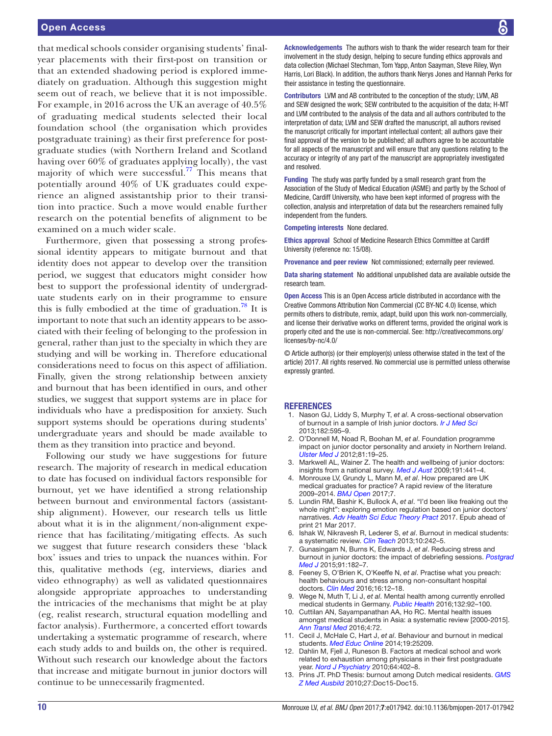# Open Access

that medical schools consider organising students' finalyear placements with their first-post on transition or that an extended shadowing period is explored immediately on graduation. Although this suggestion might seem out of reach, we believe that it is not impossible. For example, in 2016 across the UK an average of 40.5% of graduating medical students selected their local foundation school (the organisation which provides postgraduate training) as their first preference for postgraduate studies (with Northern Ireland and Scotland having over 60% of graduates applying locally), the vast majority of which were successful.<sup>77</sup> This means that potentially around 40% of UK graduates could experience an aligned assistantship prior to their transition into practice. Such a move would enable further research on the potential benefits of alignment to be examined on a much wider scale.

Furthermore, given that possessing a strong professional identity appears to mitigate burnout and that identity does not appear to develop over the transition period, we suggest that educators might consider how best to support the professional identity of undergraduate students early on in their programme to ensure this is fully embodied at the time of graduation.<sup>78</sup> It is important to note that such an identity appears to be associated with their feeling of belonging to the profession in general, rather than just to the specialty in which they are studying and will be working in. Therefore educational considerations need to focus on this aspect of affiliation. Finally, given the strong relationship between anxiety and burnout that has been identified in ours, and other studies, we suggest that support systems are in place for individuals who have a predisposition for anxiety. Such support systems should be operations during students' undergraduate years and should be made available to them as they transition into practice and beyond.

Following our study we have suggestions for future research. The majority of research in medical education to date has focused on individual factors responsible for burnout, yet we have identified a strong relationship between burnout and environmental factors (assistantship alignment). However, our research tells us little about what it is in the alignment/non-alignment experience that has facilitating/mitigating effects. As such we suggest that future research considers these 'black box' issues and tries to unpack the nuances within. For this, qualitative methods (eg, interviews, diaries and video ethnography) as well as validated questionnaires alongside appropriate approaches to understanding the intricacies of the mechanisms that might be at play (eg, realist research, structural equation modelling and factor analysis). Furthermore, a concerted effort towards undertaking a systematic programme of research, where each study adds to and builds on, the other is required. Without such research our knowledge about the factors that increase and mitigate burnout in junior doctors will continue to be unnecessarily fragmented.

Acknowledgements The authors wish to thank the wider research team for their involvement in the study design, helping to secure funding ethics approvals and data collection (Michael Stechman, Tom Yapp, Anton Saayman, Steve Riley, Wyn Harris, Lori Black). In addition, the authors thank Nerys Jones and Hannah Perks for their assistance in testing the questionnaire.

Contributors LVM and AB contributed to the conception of the study; LVM, AB and SEW designed the work; SEW contributed to the acquisition of the data; H-MT and LVM contributed to the analysis of the data and all authors contributed to the interpretation of data; LVM and SEW drafted the manuscript, all authors revised the manuscript critically for important intellectual content; all authors gave their final approval of the version to be published; all authors agree to be accountable for all aspects of the manuscript and will ensure that any questions relating to the accuracy or integrity of any part of the manuscript are appropriately investigated and resolved.

Funding The study was partly funded by a small research grant from the Association of the Study of Medical Education (ASME) and partly by the School of Medicine, Cardiff University, who have been kept informed of progress with the collection, analysis and interpretation of data but the researchers remained fully independent from the funders.

Competing interests None declared.

Ethics approval School of Medicine Research Ethics Committee at Cardiff University (reference no: 15/08).

Provenance and peer review Not commissioned; externally peer reviewed.

Data sharing statement No additional unpublished data are available outside the research team.

Open Access This is an Open Access article distributed in accordance with the Creative Commons Attribution Non Commercial (CC BY-NC 4.0) license, which permits others to distribute, remix, adapt, build upon this work non-commercially, and license their derivative works on different terms, provided the original work is properly cited and the use is non-commercial. See: [http://creativecommons.org/](http://creativecommons.org/licenses/by-nc/4.0/) [licenses/by-nc/4.0/](http://creativecommons.org/licenses/by-nc/4.0/)

© Article author(s) (or their employer(s) unless otherwise stated in the text of the article) 2017. All rights reserved. No commercial use is permitted unless otherwise expressly granted.

#### **REFERENCES**

- <span id="page-9-0"></span>1. Nason GJ, Liddy S, Murphy T, *et al*. A cross-sectional observation of burnout in a sample of Irish junior doctors. *[Ir J Med Sci](http://dx.doi.org/10.1007/s11845-013-0933-y)* 2013;182:595–9.
- 2. O'Donnell M, Noad R, Boohan M, *et al*. Foundation programme impact on junior doctor personality and anxiety in Northern Ireland. *Ulster Med J* 2012;81:19–25.
- <span id="page-9-3"></span>3. Markwell AL, Wainer Z. The health and wellbeing of junior doctors: insights from a national survey. *Med J Aust* 2009;191:441–4.
- 4. Monrouxe LV, Grundy L, Mann M, *et al*. How prepared are UK medical graduates for practice? A rapid review of the literature 2009–2014. *BMJ Open* 2017;7.
- 5. Lundin RM, Bashir K, Bullock A, *et al*. "I'd been like freaking out the whole night": exploring emotion regulation based on junior doctors' narratives. *[Adv Health Sci Educ Theory Pract](http://dx.doi.org/10.1007/s10459-017-9769-y)* 2017. Epub ahead of print 21 Mar 2017.
- <span id="page-9-1"></span>6. Ishak W, Nikravesh R, Lederer S, *et al*. Burnout in medical students: a systematic review. *[Clin Teach](http://dx.doi.org/10.1111/tct.12014)* 2013;10:242–5.
- <span id="page-9-5"></span>7. Gunasingam N, Burns K, Edwards J, *et al*. Reducing stress and burnout in junior doctors: the impact of debriefing sessions. *[Postgrad](http://dx.doi.org/10.1136/postgradmedj-2014-132847)  [Med J](http://dx.doi.org/10.1136/postgradmedj-2014-132847)* 2015;91:182–7.
- <span id="page-9-2"></span>8. Feeney S, O'Brien K, O'Keeffe N, *et al*. Practise what you preach: health behaviours and stress among non-consultant hospital doctors. *[Clin Med](http://dx.doi.org/10.7861/clinmedicine.16-1-12)* 2016;16:12–18.
- Wege N, Muth T, Li J, et al. Mental health among currently enrolled medical students in Germany. *[Public Health](http://dx.doi.org/10.1016/j.puhe.2015.12.014)* 2016;132:92–100.
- 10. Cuttilan AN, Sayampanathan AA, Ho RC. Mental health issues amongst medical students in Asia: a systematic review [2000-2015]. *[Ann Transl Med](http://dx.doi.org/10.3978/j.issn.2305-5839.2016.02.07)* 2016;4:72.
- <span id="page-9-4"></span>11. Cecil J, McHale C, Hart J, *et al*. Behaviour and burnout in medical students. *[Med Educ Online](http://dx.doi.org/10.3402/meo.v19.25209)* 2014;19:25209.
- 12. Dahlin M, Fjell J, Runeson B. Factors at medical school and work related to exhaustion among physicians in their first postgraduate year. *[Nord J Psychiatry](http://dx.doi.org/10.3109/08039481003759219)* 2010;64:402–8.
- 13. Prins JT. PhD Thesis: burnout among Dutch medical residents. *[GMS](http://dx.doi.org/10.3205/zma000652)  [Z Med Ausbild](http://dx.doi.org/10.3205/zma000652)* 2010;27:Doc15-Doc15.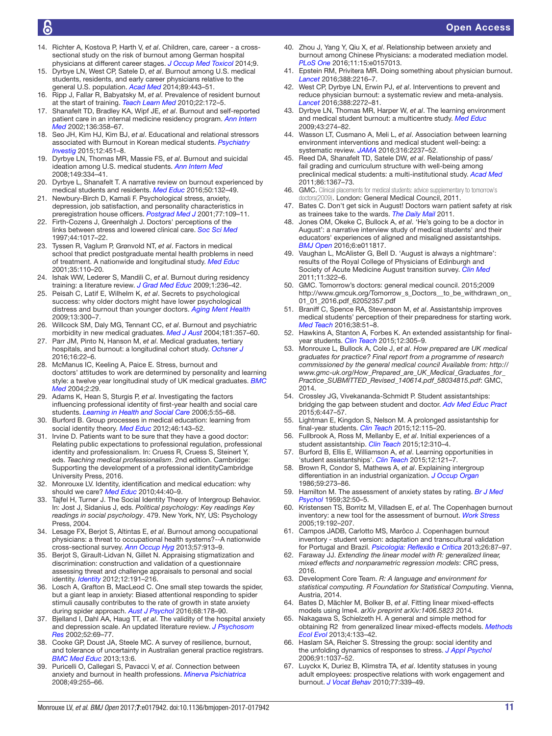- 14. Richter A, Kostova P, Harth V, *et al*. Children, care, career a crosssectional study on the risk of burnout among German hospital physicians at different career stages. *[J Occup Med Toxicol](http://dx.doi.org/10.1186/s12995-014-0041-6)* 2014;9.
- <span id="page-10-0"></span>15. Dyrbye LN, West CP, Satele D, *et al*. Burnout among U.S. medical students, residents, and early career physicians relative to the general U.S. population. *[Acad Med](http://dx.doi.org/10.1097/ACM.0000000000000134)* 2014;89:443–51.
- 16. Ripp J, Fallar R, Babyatsky M, *et al*. Prevalence of resident burnout at the start of training. *[Teach Learn Med](http://dx.doi.org/10.1080/10401334.2010.488194)* 2010;22:172–5.
- <span id="page-10-2"></span>17. Shanafelt TD, Bradley KA, Wipf JE, *et al*. Burnout and self-reported patient care in an internal medicine residency program. *[Ann Intern](http://dx.doi.org/10.7326/0003-4819-136-5-200203050-00008)  [Med](http://dx.doi.org/10.7326/0003-4819-136-5-200203050-00008)* 2002;136:358–67.
- <span id="page-10-1"></span>18. Seo JH, Kim HJ, Kim BJ, *et al*. Educational and relational stressors associated with Burnout in Korean medical students. *[Psychiatry](http://dx.doi.org/10.4306/pi.2015.12.4.451)  [Investig](http://dx.doi.org/10.4306/pi.2015.12.4.451)* 2015;12:451–8.
- 19. Dyrbye LN, Thomas MR, Massie FS, *et al*. Burnout and suicidal ideation among U.S. medical students. *[Ann Intern Med](http://dx.doi.org/10.7326/0003-4819-149-5-200809020-00008)* 2008;149:334–41.
- 20. Dyrbye L, Shanafelt T. A narrative review on burnout experienced by medical students and residents. *[Med Educ](http://dx.doi.org/10.1111/medu.12927)* 2016;50:132–49.
- 21. Newbury-Birch D, Kamali F. Psychological stress, anxiety, depression, job satisfaction, and personality characteristics in preregistration house officers. *[Postgrad Med J](http://dx.doi.org/10.1136/pmj.77.904.109)* 2001;77:109–11.
- 22. Firth-Cozens J, Greenhalgh J. Doctors' perceptions of the links between stress and lowered clinical care. *[Soc Sci Med](http://dx.doi.org/10.1016/S0277-9536(96)00227-4)* 1997;44:1017–22.
- <span id="page-10-3"></span>23. Tyssen R, Vaglum P, Grønvold NT, *et al*. Factors in medical school that predict postgraduate mental health problems in need of treatment. A nationwide and longitudinal study. *[Med Educ](http://dx.doi.org/10.1046/j.1365-2923.2001.00770.x)* 2001;35:110–20.
- <span id="page-10-4"></span>24. Ishak WW, Lederer S, Mandili C, *et al*. Burnout during residency training: a literature review. *[J Grad Med Educ](http://dx.doi.org/10.4300/JGME-D-09-00054.1)* 2009;1:236–42.
- 25. Peisah C, Latif E, Wilhelm K, *et al*. Secrets to psychological success: why older doctors might have lower psychological distress and burnout than younger doctors. *[Aging Ment Health](http://dx.doi.org/10.1080/13607860802459831)* 2009;13:300–7.
- <span id="page-10-5"></span>26. Willcock SM, Daly MG, Tennant CC, *et al*. Burnout and psychiatric morbidity in new medical graduates. *Med J Aust* 2004;181:357–60.
- <span id="page-10-6"></span>27. Parr JM, Pinto N, Hanson M, *et al*. Medical graduates, tertiary hospitals, and burnout: a longitudinal cohort study. *Ochsner J* 2016;16:22–6.
- <span id="page-10-7"></span>28. McManus IC, Keeling A, Paice E. Stress, burnout and doctors' attitudes to work are determined by personality and learning style: a twelve year longitudinal study of UK medical graduates. *[BMC](http://dx.doi.org/10.1186/1741-7015-2-29)  [Med](http://dx.doi.org/10.1186/1741-7015-2-29)* 2004;2:29.
- <span id="page-10-8"></span>29. Adams K, Hean S, Sturgis P, *et al*. Investigating the factors influencing professional identity of first-year health and social care students. *[Learning in Health and Social Care](http://dx.doi.org/10.1111/j.1473-6861.2006.00119.x)* 2006;5:55–68.
- <span id="page-10-9"></span>30. Burford B. Group processes in medical education: learning from social identity theory. *[Med Educ](http://dx.doi.org/10.1111/j.1365-2923.2011.04099.x)* 2012;46:143–52.
- 31. Irvine D. Patients want to be sure that they have a good doctor: Relating public expectations to professional regulation, professional identity and professionalism. In: Cruess R, Cruess S, Steinert Y, eds. *Teaching medical professionalism*. 2nd edition. Cambridge: Supporting the development of a professional identityCambridge University Press, 2016.
- 32. Monrouxe LV. Identity, identification and medical education: why should we care? *[Med Educ](http://dx.doi.org/10.1111/j.1365-2923.2009.03440.x)* 2010;44:40–9.
- 33. Tajfel H, Turner J. The Social Identity Theory of Intergroup Behavior. In: Jost J, Sidanius J, eds. *Political psychology: Key readings Key readings in social psychology*. 479. New York, NY, US: Psychology Press, 2004.
- <span id="page-10-10"></span>34. Lesage FX, Berjot S, Altintas E, *et al*. Burnout among occupational physicians: a threat to occupational health systems?--A nationwide cross-sectional survey. *[Ann Occup Hyg](http://dx.doi.org/10.1093/annhyg/met013)* 2013;57:913–9.
- <span id="page-10-11"></span>35. Berjot S, Girault-Lidvan N, Gillet N. Appraising stigmatization and discrimination: construction and validation of a questionnaire assessing threat and challenge appraisals to personal and social identity. *[Identity](http://dx.doi.org/10.1080/15283488.2012.691254)* 2012;12:191–216.
- <span id="page-10-12"></span>36. Losch A, Grafton B, MacLeod C. One small step towards the spider, but a giant leap in anxiety: Biased attentional responding to spider stimuli causally contributes to the rate of growth in state anxiety during spider approach. *[Aust J Psychol](http://dx.doi.org/10.1111/ajpy.12140)* 2016;68:178–90.
- <span id="page-10-13"></span>37. Bjelland I, Dahl AA, Haug TT, *et al*. The validity of the hospital anxiety and depression scale. An updated literature review. *J Psychosom Res* 2002;52:69–77.
- <span id="page-10-14"></span>38. Cooke GP, Doust JA, Steele MC. A survey of resilience, burnout, and tolerance of uncertainty in Australian general practice registrars. *[BMC Med Educ](http://dx.doi.org/10.1186/1472-6920-13-2)* 2013;13:6.
- <span id="page-10-36"></span>39. Puricelli O, Callegari S, Pavacci V, *et al*. Connection between anxiety and burnout in health professions. *Minerva Psichiatrica* 2008;49:255–66.
- 40. Zhou J, Yang Y, Qiu X, *et al*. Relationship between anxiety and burnout among Chinese Physicians: a moderated mediation model. *[PLoS One](http://dx.doi.org/10.1371/journal.pone.0157013)* 2016;11:15:e0157013.
- <span id="page-10-15"></span>41. Epstein RM, Privitera MR. Doing something about physician burnout. *[Lancet](http://dx.doi.org/10.1016/S0140-6736(16)31332-0)* 2016;388:2216–7.
- <span id="page-10-16"></span>42. West CP, Dyrbye LN, Erwin PJ, *et al*. Interventions to prevent and reduce physician burnout: a systematic review and meta-analysis. *[Lancet](http://dx.doi.org/10.1016/S0140-6736(16)31279-X)* 2016;388:2272–81.
- <span id="page-10-17"></span>43. Dyrbye LN, Thomas MR, Harper W, *et al*. The learning environment and medical student burnout: a multicentre study. *[Med Educ](http://dx.doi.org/10.1111/j.1365-2923.2008.03282.x)* 2009;43:274–82.
- <span id="page-10-18"></span>44. Wasson LT, Cusmano A, Meli L, *et al*. Association between learning environment interventions and medical student well-being: a systematic review. *[JAMA](http://dx.doi.org/10.1001/jama.2016.17573)* 2016;316:2237–52.
- <span id="page-10-19"></span>45. Reed DA, Shanafelt TD, Satele DW, *et al*. Relationship of pass/ fail grading and curriculum structure with well-being among preclinical medical students: a multi-institutional study. *[Acad Med](http://dx.doi.org/10.1097/ACM.0b013e3182305d81)* 2011;86:1367–73.
- <span id="page-10-20"></span>46. GMC. Clinical placements for medical students: advice supplementary to tomorrow's doctors(2009). London: General Medical Council, 2011.
- <span id="page-10-21"></span>47. Bates C. Don't get sick in August! Doctors warn patient safety at risk as trainees take to the wards. *The Daily Mail* 2011.
- <span id="page-10-25"></span>48. Jones OM, Okeke C, Bullock A, *et al*. 'He's going to be a doctor in August': a narrative interview study of medical students' and their educators' experiences of aligned and misaligned assistantships. *[BMJ Open](http://dx.doi.org/10.1136/bmjopen-2016-011817)* 2016;6:e011817.
- 49. Vaughan L, McAlister G, Bell D. 'August is always a nightmare': results of the Royal College of Physicians of Edinburgh and Society of Acute Medicine August transition survey. *[Clin Med](http://dx.doi.org/10.7861/clinmedicine.11-4-322)* 2011;11:322–6.
- <span id="page-10-22"></span>50. GMC. Tomorrow's doctors: general medical council. 2015;2009 [http://www.gmcuk.org/Tomorrow\\_s\\_Doctors\\_\\_to\\_be\\_withdrawn\\_on\\_](http://www.gmcuk.org/Tomorrow_s_Doctors__to_be_withdrawn_on_01_01_2016.pdf_62052357.pdf) [01\\_01\\_2016.pdf\\_62052357.pdf](http://www.gmcuk.org/Tomorrow_s_Doctors__to_be_withdrawn_on_01_01_2016.pdf_62052357.pdf)
- <span id="page-10-23"></span>51. Braniff C, Spence RA, Stevenson M, *et al*. Assistantship improves medical students' perception of their preparedness for starting work. *[Med Teach](http://dx.doi.org/10.3109/0142159X.2015.1045843)* 2016;38:51–8.
- <span id="page-10-28"></span>52. Hawkins A, Stanton A, Forbes K. An extended assistantship for finalyear students. *[Clin Teach](http://dx.doi.org/10.1111/tct.12351)* 2015;12:305–9.
- <span id="page-10-24"></span>53. Monrouxe L, Bullock A, Cole J, *et al*. *How prepared are UK medical graduates for practice? Final report from a programme of research commissioned by the general medical council Available from: http:// www.gmc-uk.org/How\_Prepared\_are\_UK\_Medical\_Graduates\_for\_ Practice\_SUBMITTED\_Revised\_140614.pdf\_58034815.pdf*: GMC, 2014.
- 54. Crossley JG, Vivekananda-Schmidt P. Student assistantships: bridging the gap between student and doctor. *[Adv Med Educ Pract](http://dx.doi.org/10.2147/AMEP.S62822)* 2015;6:447–57.
- <span id="page-10-26"></span>55. Lightman E, Kingdon S, Nelson M. A prolonged assistantship for final-year students. *[Clin Teach](http://dx.doi.org/10.1111/tct.12272)* 2015;12:115–20.
- <span id="page-10-27"></span>56. Fullbrook A, Ross M, Mellanby E, *et al*. Initial experiences of a student assistantship. *[Clin Teach](http://dx.doi.org/10.1111/tct.12355)* 2015;12:310–4.
- 57. Burford B, Ellis E, Williamson A, *et al*. Learning opportunities in 'student assistantships'. *[Clin Teach](http://dx.doi.org/10.1111/tct.12269)* 2015;12:121–7.
- 58. Brown R, Condor S, Mathews A, *et al*. Explaining intergroup differentiation in an industrial organization. *[J Occup Organ](http://dx.doi.org/10.1111/j.2044-8325.1986.tb00230.x)* 1986;59:273–86.
- <span id="page-10-29"></span>59. Hamilton M. The assessment of anxiety states by rating. *[Br J Med](http://dx.doi.org/10.1111/j.2044-8341.1959.tb00467.x)  [Psychol](http://dx.doi.org/10.1111/j.2044-8341.1959.tb00467.x)* 1959;32:50–5.
- <span id="page-10-30"></span>60. Kristensen TS, Borritz M, Villadsen E, *et al*. The Copenhagen burnout inventory: a new tool for the assessment of burnout. *[Work Stress](http://dx.doi.org/10.1080/02678370500297720)* 2005;19:192–207.
- <span id="page-10-31"></span>61. Campos JADB, Carlotto MS, Marôco J. Copenhagen burnout inventory - student version: adaptation and transcultural validation for Portugal and Brazil. *[Psicologia: Reflexão e Crítica](http://dx.doi.org/10.1590/S0102-79722013000100010)* 2013;26:87–97.
- <span id="page-10-32"></span>62. Faraway JJ. *Extending the linear model with R: generalized linear, mixed effects and nonparametric regression models*: CRC press, 2016.
- <span id="page-10-33"></span>63. Development Core Team. *R: A language and environment for statistical computing. R Foundation for Statistical Computing*. Vienna, Austria, 2014.
- <span id="page-10-34"></span>64. Bates D, Mächler M, Bolker B, *et al*. Fitting linear mixed-effects models using lme4. *arXiv preprint arXiv:1406.5823* 2014.
- <span id="page-10-35"></span>65. Nakagawa S, Schielzeth H. A general and simple method fo*r* obtaining R2 from generalized linea*r* mixed-effects models. *[Methods](http://dx.doi.org/10.1111/j.2041-210x.2012.00261.x)  [Ecol Evol](http://dx.doi.org/10.1111/j.2041-210x.2012.00261.x)* 2013;4:133–42.
- <span id="page-10-37"></span>66. Haslam SA, Reicher S. Stressing the group: social identity and the unfolding dynamics of responses to stress. *[J Appl Psychol](http://dx.doi.org/10.1037/0021-9010.91.5.1037)* 2006;91:1037–52.
- 67. Luyckx K, Duriez B, Klimstra TA, *et al*. Identity statuses in young adult employees: prospective relations with work engagement and burnout. *[J Vocat Behav](http://dx.doi.org/10.1016/j.jvb.2010.06.002)* 2010;77:339–49.